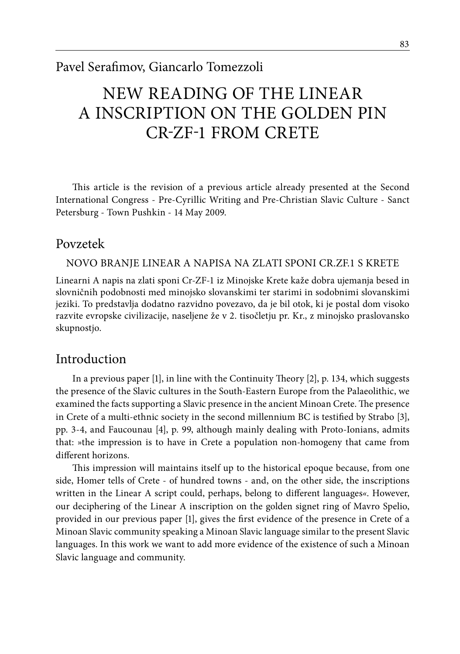# NEW READING OF THE LINEAR A INSCRIPTION ON THE GOLDEN PIN Cr-Zf-1 FROM CRETE

This article is the revision of a previous article already presented at the Second International Congress - Pre-Cyrillic Writing and Pre-Christian Slavic Culture - Sanct Petersburg - Town Pushkin - 14 May 2009.

# Povzetek

### Novo branje Linear A napisa na zlati sponi Cr.Zf.1 s Krete

Linearni A napis na zlati sponi Cr-ZF-1 iz Minojske Krete kaže dobra ujemanja besed in slovničnih podobnosti med minojsko slovanskimi ter starimi in sodobnimi slovanskimi jeziki. To predstavlja dodatno razvidno povezavo, da je bil otok, ki je postal dom visoko razvite evropske civilizacije, naseljene že v 2. tisočletju pr. Kr., z minojsko praslovansko skupnostjo.

# Introduction

In a previous paper [1], in line with the Continuity Theory [2], p. 134, which suggests the presence of the Slavic cultures in the South-Eastern Europe from the Palaeolithic, we examined the facts supporting a Slavic presence in the ancient Minoan Crete. The presence in Crete of a multi-ethnic society in the second millennium BC is testified by Strabo [3], pp. 3-4, and Faucounau [4], p. 99, although mainly dealing with Proto-Ionians, admits that: »the impression is to have in Crete a population non-homogeny that came from different horizons.

This impression will maintains itself up to the historical epoque because, from one side, Homer tells of Crete - of hundred towns - and, on the other side, the inscriptions written in the Linear A script could, perhaps, belong to different languages*«*. However, our deciphering of the Linear A inscription on the golden signet ring of Mavro Spelio, provided in our previous paper [1], gives the first evidence of the presence in Crete of a Minoan Slavic community speaking a Minoan Slavic language similar to the present Slavic languages. In this work we want to add more evidence of the existence of such a Minoan Slavic language and community.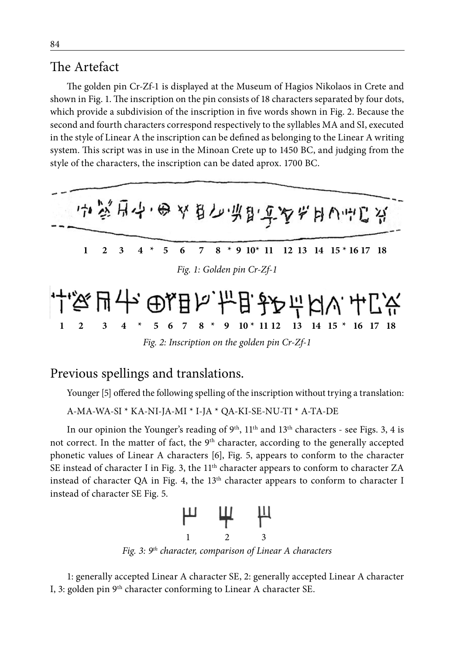# The Artefact

The golden pin Cr-Zf-1 is displayed at the Museum of Hagios Nikolaos in Crete and shown in Fig. 1. The inscription on the pin consists of 18 characters separated by four dots, which provide a subdivision of the inscription in five words shown in Fig. 2. Because the second and fourth characters correspond respectively to the syllables MA and SI, executed in the style of Linear A the inscription can be defined as belonging to the Linear A writing system. This script was in use in the Minoan Crete up to 1450 BC, and judging from the style of the characters, the inscription can be dated aprox. 1700 BC.



*Fig. 2: Inscription on the golden pin Cr-Zf-1*

### Previous spellings and translations.

Younger [5] offered the following spelling of the inscription without trying a translation:

```
A-MA-WA-SI * KA-NI-JA-MI * I-JA * QA-KI-SE-NU-TI * A-TA-DE
```
In our opinion the Younger's reading of  $9<sup>th</sup>$ ,  $11<sup>th</sup>$  and  $13<sup>th</sup>$  characters - see Figs. 3, 4 is not correct. In the matter of fact, the 9<sup>th</sup> character, according to the generally accepted phonetic values of Linear A characters [6], Fig. 5, appears to conform to the character SE instead of character I in Fig. 3, the 11<sup>th</sup> character appears to conform to character ZA instead of character QA in Fig. 4, the 13<sup>th</sup> character appears to conform to character I instead of character SE Fig. 5.



*Fig. 3: 9th character, comparison of Linear A characters*

1: generally accepted Linear A character SE, 2: generally accepted Linear A character I, 3: golden pin 9<sup>th</sup> character conforming to Linear A character SE.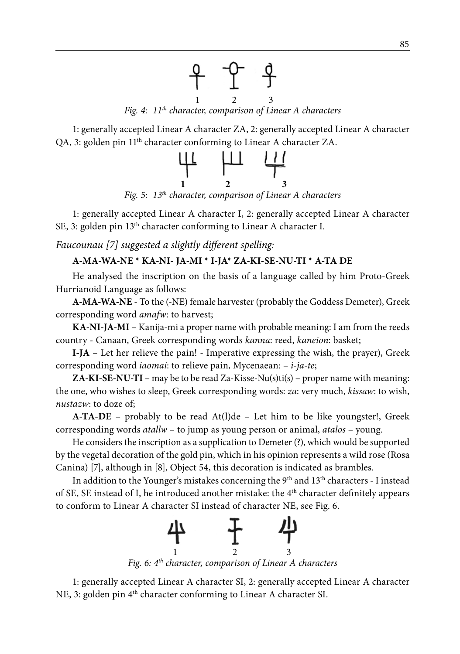

1: generally accepted Linear A character ZA, 2: generally accepted Linear A character QA, 3: golden pin 11th character conforming to Linear A character ZA.



1: generally accepted Linear A character I, 2: generally accepted Linear A character SE, 3: golden pin 13<sup>th</sup> character conforming to Linear A character I.

*Faucounau [7] suggested a slightly different spelling:*

#### **A-MA-WA-NE \* KA-NI- JA-MI \* I-JA\* ZA-KI-SE-NU-TI \* A-TA DE**

He analysed the inscription on the basis of a language called by him Proto-Greek Hurrianoid Language as follows:

**A-MA-WA-NE** - To the (-NE) female harvester (probably the Goddess Demeter), Greek corresponding word *amafw*: to harvest;

**KA-NI-JA-MI** – Kanija-mi a proper name with probable meaning: I am from the reeds country - Canaan, Greek corresponding words *kanna*: reed, *kaneion*: basket;

**I-JA** – Let her relieve the pain! - Imperative expressing the wish, the prayer), Greek corresponding word *iaomai*: to relieve pain, Mycenaean: – *i-ja-te*;

**ZA-KI-SE-NU-TI** – may be to be read Za-Kisse-Nu(s)ti(s) – proper name with meaning: the one, who wishes to sleep, Greek corresponding words: *za*: very much, *kissaw*: to wish, *nustazw*: to doze of;

**A-TA-DE** – probably to be read At(l)de – Let him to be like youngster!, Greek corresponding words *atallw* – to jump as young person or animal, *atalos* – young.

He considers the inscription as a supplication to Demeter (?), which would be supported by the vegetal decoration of the gold pin, which in his opinion represents a wild rose (Rosa Canina) [7], although in [8], Object 54, this decoration is indicated as brambles.

In addition to the Younger's mistakes concerning the  $9<sup>th</sup>$  and  $13<sup>th</sup>$  characters - I instead of SE, SE instead of I, he introduced another mistake: the 4<sup>th</sup> character definitely appears to conform to Linear A character SI instead of character NE, see Fig. 6.



1: generally accepted Linear A character SI, 2: generally accepted Linear A character NE, 3: golden pin 4<sup>th</sup> character conforming to Linear A character SI.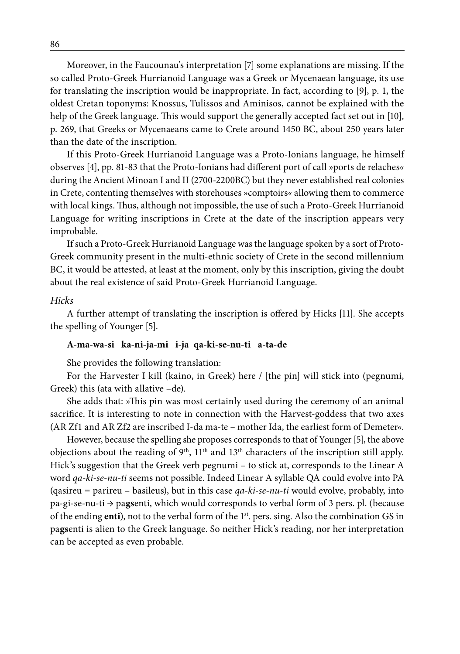Moreover, in the Faucounau's interpretation [7] some explanations are missing. If the so called Proto-Greek Hurrianoid Language was a Greek or Mycenaean language, its use for translating the inscription would be inappropriate. In fact, according to [9], p. 1, the oldest Cretan toponyms: Knossus, Tulissos and Aminisos, cannot be explained with the help of the Greek language. This would support the generally accepted fact set out in [10], p. 269, that Greeks or Mycenaeans came to Crete around 1450 BC, about 250 years later than the date of the inscription.

If this Proto-Greek Hurrianoid Language was a Proto-Ionians language, he himself observes [4], pp. 81-83 that the Proto-Ionians had different port of call »ports de relaches*«* during the Ancient Minoan I and II (2700-2200BC) but they never established real colonies in Crete, contenting themselves with storehouses »comptoirs*«* allowing them to commerce with local kings. Thus, although not impossible, the use of such a Proto-Greek Hurrianoid Language for writing inscriptions in Crete at the date of the inscription appears very improbable.

If such a Proto-Greek Hurrianoid Language was the language spoken by a sort of Proto-Greek community present in the multi-ethnic society of Crete in the second millennium BC, it would be attested, at least at the moment, only by this inscription, giving the doubt about the real existence of said Proto-Greek Hurrianoid Language.

#### *Hicks*

A further attempt of translating the inscription is offered by Hicks [11]. She accepts the spelling of Younger [5].

#### **A-ma-wa-si ka-ni-ja-mi i-ja qa-ki-se-nu-ti a-ta-de**

She provides the following translation:

For the Harvester I kill (kaino, in Greek) here / [the pin] will stick into (pegnumi, Greek) this (ata with allative –de).

She adds that: »This pin was most certainly used during the ceremony of an animal sacrifice. It is interesting to note in connection with the Harvest-goddess that two axes (AR Zf1 and AR Zf2 are inscribed I-da ma-te – mother Ida, the earliest form of Demeter*«*.

However, because the spelling she proposes corresponds to that of Younger [5], the above objections about the reading of  $9<sup>th</sup>$ ,  $11<sup>th</sup>$  and  $13<sup>th</sup>$  characters of the inscription still apply. Hick's suggestion that the Greek verb pegnumi – to stick at, corresponds to the Linear A word *qa-ki-se-nu-ti* seems not possible. Indeed Linear A syllable QA could evolve into PA (qasireu = parireu – basileus), but in this case *qa-ki-se-nu-ti* would evolve, probably, into pa-gi-se-nu-ti → pa**gs**enti, which would corresponds to verbal form of 3 pers. pl. (because of the ending enti), not to the verbal form of the 1<sup>st</sup>. pers. sing. Also the combination GS in pa**gs**enti is alien to the Greek language. So neither Hick's reading, nor her interpretation can be accepted as even probable.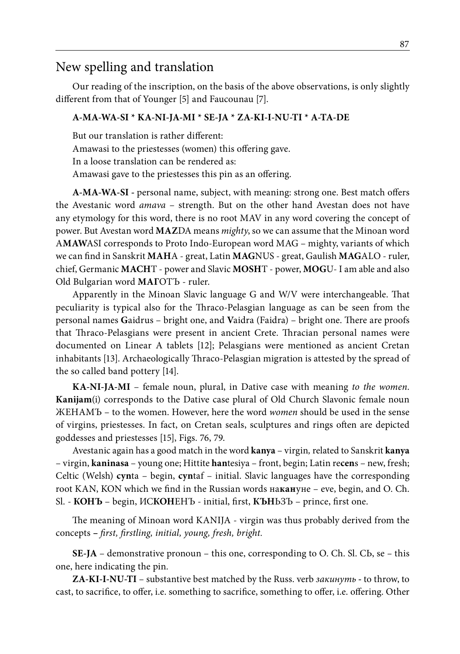### New spelling and translation

Our reading of the inscription, on the basis of the above observations, is only slightly different from that of Younger [5] and Faucounau [7].

#### **A-MA-WA-SI \* KA-NI-JA-MI \* SE-JA \* ZA-KI-I-NU-TI \* A-TA-DE**

But our translation is rather different: Amawasi to the priestesses (women) this offering gave. In a loose translation can be rendered as: Amawasi gave to the priestesses this pin as an offering.

**A-MA-WA-SI -** personal name, subject, with meaning: strong one. Best match offers the Avestanic word *amava* – strength. But on the other hand Avestan does not have any etymology for this word, there is no root MAV in any word covering the concept of power. But Avestan word **MAZ**DA means *mighty*, so we can assume that the Minoan word A**MAW**ASI corresponds to Proto Indo-European word MAG – mighty, variants of which we can find in Sanskrit **MAH**A - great, Latin **MAG**NUS - great, Gaulish **MAG**ALO - ruler, chief, Germanic **MACH**T - power and Slavic **MOSH**T - power, **MOG**U- I am able and also Old Bulgarian word **MAГ**OTЪ - ruler.

Apparently in the Minoan Slavic language G and W/V were interchangeable. That peculiarity is typical also for the Thraco-Pelasgian language as can be seen from the personal names **G**aidrus – bright one, and **V**aidra (Faidra) – bright one. There are proofs that Thraco-Pelasgians were present in ancient Crete. Thracian personal names were documented on Linear A tablets [12]; Pelasgians were mentioned as ancient Cretan inhabitants [13]. Archaeologically Thraco-Pelasgian migration is attested by the spread of the so called band pottery [14].

**KA-NI-JA-MI** – female noun, plural, in Dative case with meaning *to the women*. **Kanijam**(i) corresponds to the Dative case plural of Old Church Slavonic female noun ЖЕНАМЪ – to the women. However, here the word *women* should be used in the sense of virgins, priestesses. In fact, on Cretan seals, sculptures and rings often are depicted goddesses and priestesses [15], Figs. 76, 79.

Avestanic again has a good match in the word **kanya** – virgin*,* related to Sanskrit **kanya**  – virgin, **kaninasa** – young one; Hittite **han**tesiya – front, begin; Latin re**cen**s – new, fresh; Celtic (Welsh) **cyn**ta – begin, **cyn**taf – initial. Slavic languages have the corresponding root KAN, KON which we find in the Russian words на**кан**уне – eve, begin, and O. Ch. Sl. - **КОНЪ** – begin, ИС**КОН**ЕНЪ - initial, first, **КЪН**ЬЗЪ – prince, first one.

The meaning of Minoan word KANIJA - virgin was thus probably derived from the concepts **–** *first, firstling, initial, young, fresh, bright.*

**SE-JA** – demonstrative pronoun – this one, corresponding to O. Ch. Sl. СЬ, se *–* this one, here indicating the pin*.*

**ZA-KI-I-NU-TI** – substantive best matched by the Russ. verb *закинуть* **-** to throw, to cast, to sacrifice, to offer, i.e. something to sacrifice, something to offer, i.e. offering. Other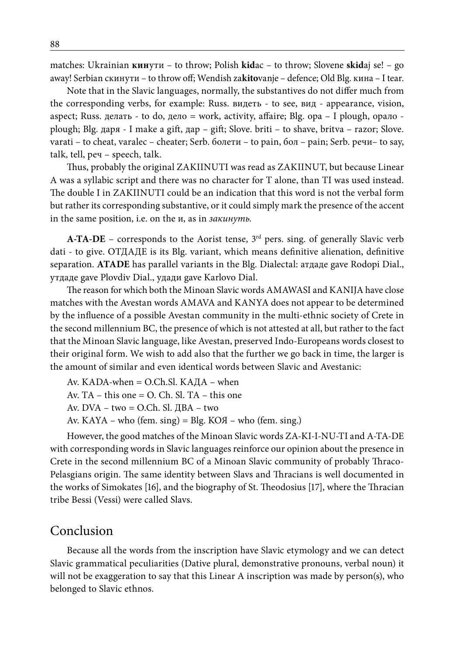matches: Ukrainian **кин**ути – to throw; Polish **kid**ac – to throw; Slovene **skid**aj se! – go away! Serbian скинути – to throw off; Wendish za**kito**vanje – defence; Old Blg. кина – I tear.

Note that in the Slavic languages, normally, the substantives do not differ much from the corresponding verbs, for example: Russ. видеть - to see, вид - appearance, vision, aspect; Russ. делать - to do, дело = work, activity, affaire; Blg. opa – I plough, opaлo plough; Blg. даря - I make a gift, дар – gift; Slove. briti – to shave, britva – razor; Slove. varati – to cheat, varalec – cheater; Serb. болети – to pain, бол – pain; Serb. речи– to say, talk, tell, реч – speech, talk.

Thus, probably the original ZAKIINUTI was read as ZAKIINUT, but because Linear A was a syllabic script and there was no character for T alone, than TI was used instead. The double I in ZAKIINUTI could be an indication that this word is not the verbal form but rather its corresponding substantive, or it could simply mark the presence of the accent in the same position, i.e. on the и, as in *закинуть.*

**A-TA-DE** – corresponds to the Aorist tense, 3<sup>rd</sup> pers. sing. of generally Slavic verb dati - to give. ОТДАДЕ is its Blg. variant, which means definitive alienation, definitive separation. **ATADE** has parallel variants in the Blg. Dialectal: атдаде gave Rodopi Dial., утдаде gave Plovdiv Dial., удади gave Karlovo Dial.

The reason for which both the Minoan Slavic words AMAWASI and KANIJA have close matches with the Avestan words AMAVA and KANYA does not appear to be determined by the influence of a possible Avestan community in the multi-ethnic society of Crete in the second millennium BC, the presence of which is not attested at all, but rather to the fact that the Minoan Slavic language, like Avestan, preserved Indo-Europeans words closest to their original form. We wish to add also that the further we go back in time, the larger is the amount of similar and even identical words between Slavic and Avestanic:

Av. KADA-when  $=$  O.Ch.Sl. KA $\rm I$ A – when

Av. TA – this one = O. Ch. Sl. TA – this one

Av.  $DVA - two = O-Ch.$  Sl.  $\text{IIBA} - two$ 

Av. KAYA – who (fem. sing) = Blg. KOЯ – who (fem. sing.)

However, the good matches of the Minoan Slavic words ZA-KI-I-NU-TI and A-TA-DE with corresponding words in Slavic languages reinforce our opinion about the presence in Crete in the second millennium BC of a Minoan Slavic community of probably Thraco-Pelasgians origin. The same identity between Slavs and Thracians is well documented in the works of Simokates [16], and the biography of St. Theodosius [17], where the Thracian tribe Bessi (Vessi) were called Slavs.

### Conclusion

Because all the words from the inscription have Slavic etymology and we can detect Slavic grammatical peculiarities (Dative plural, demonstrative pronouns, verbal noun) it will not be exaggeration to say that this Linear A inscription was made by person(s), who belonged to Slavic ethnos.